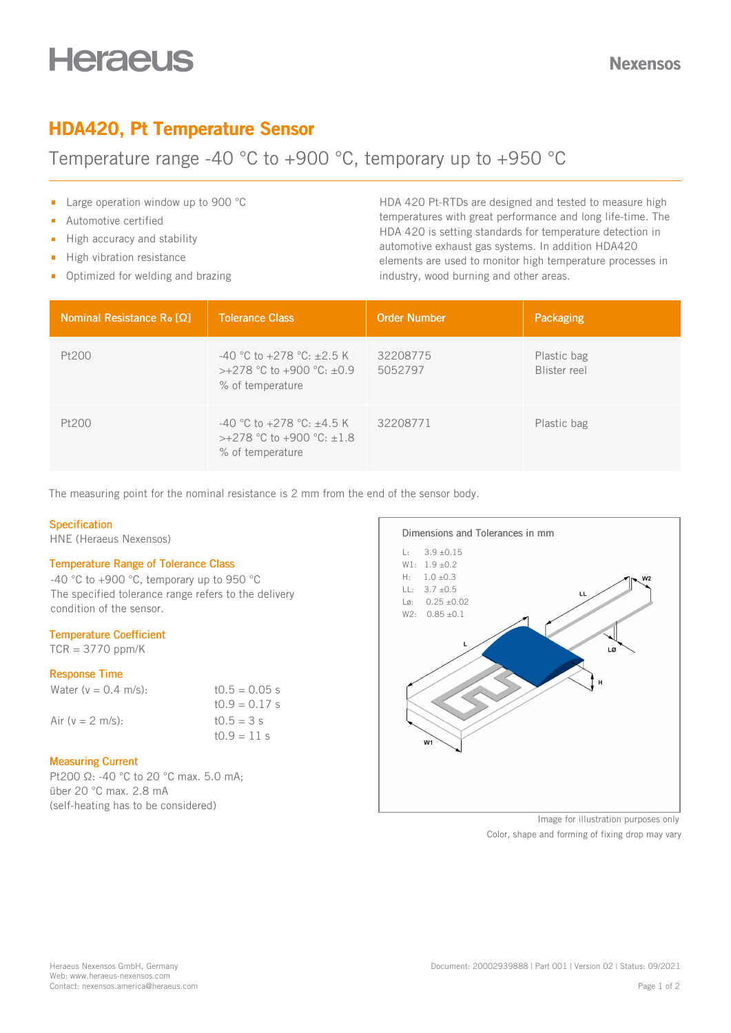# **Heraeus**

# HDA420, Pt Temperature Sensor

# Temperature range -40 °C to +900 °C, temporary up to +950 °C

- **Large operation window up to 900 °C**
- Automotive certified  $\blacksquare$
- High accuracy and stability  $\mathbf{m}^{(1)}$
- $\blacksquare$ High vibration resistance
- Optimized for welding and brazing

HDA 420 Pt-RTDs are designed and tested to measure high temperatures with great performance and long life-time. The HDA 420 is setting standards for temperature detection in automotive exhaust gas systems. In addition HDA420 elements are used to monitor high temperature processes in industry, wood burning and other areas.

| Nominal Resistance Ro $[Q]$ | <b>Tolerance Class</b>                                                                     | <b>Order Number</b> | Packaging                   |
|-----------------------------|--------------------------------------------------------------------------------------------|---------------------|-----------------------------|
| Pt200                       | $-40$ °C to $+278$ °C: $\pm 2.5$ K<br>$>+278$ °C to +900 °C: $\pm 0.9$<br>% of temperature | 32208775<br>5052797 | Plastic bag<br>Blister reel |
| Pt200                       | -40 °C to +278 °C: $\pm 4.5$ K<br>$>+278$ °C to +900 °C: $\pm 1.8$<br>% of temperature     | 32208771            | Plastic bag                 |

The measuring point for the nominal resistance is 2 mm from the end of the sensor body.

# **Specification**

HNE (Heraeus Nexensos)

### Temperature Range of Tolerance Class

-40 °C to +900 °C, temporary up to 950 °C The specified tolerance range refers to the delivery condition of the sensor.

# Temperature Coefficient

 $TCR = 3770$  ppm/K

# Response Time

| Water $(v = 0.4$ m/s): | $10.5 = 0.05$ s |
|------------------------|-----------------|
|                        | $10.9 = 0.17$ s |
| Air ( $v = 2$ m/s):    | $t0.5 = 3 s$    |
|                        | $10.9 = 11 s$   |

### Measuring Current

Pt200 Ω: -40 °C to 20 °C max. 5.0 mA; über 20 °C max. 2.8 mA (self-heating has to be considered)



Image for illustration purposes only Color, shape and forming of fixing drop may vary